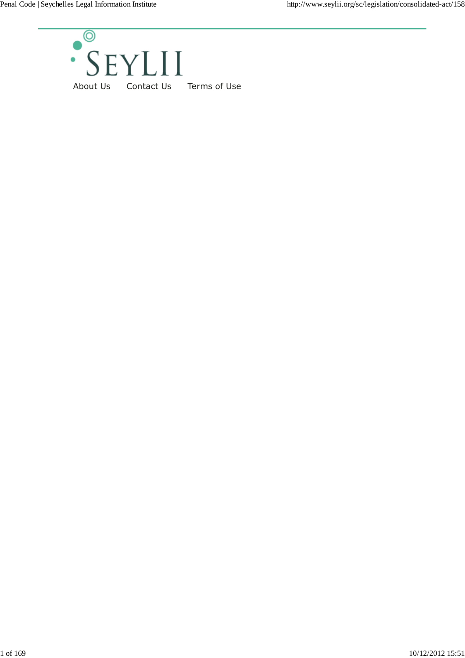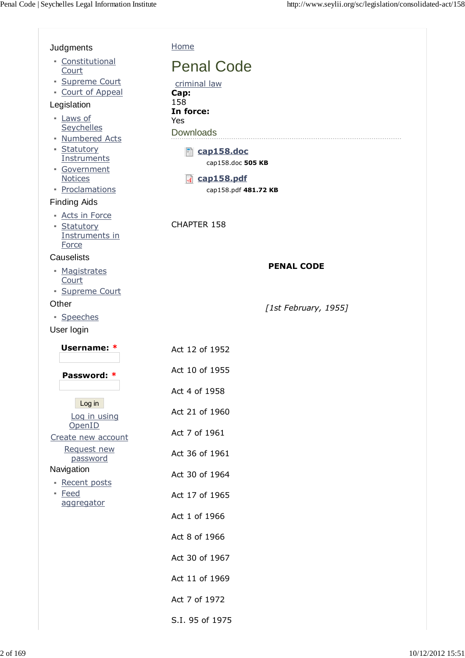$\sqrt{2}$ 

| Judgments                                 | Home                            |
|-------------------------------------------|---------------------------------|
| • Constitutional<br>Court                 | <b>Penal Code</b>               |
| · Supreme Court<br>• Court of Appeal      | criminal law                    |
| Legislation                               | Cap:<br>158<br>In force:        |
| - Laws of<br>Seychelles                   | <b>Yes</b>                      |
| • Numbered Acts                           | <b>Downloads</b>                |
| • Statutory<br>Instruments                | cap158.doc<br>cap158.doc 505 KB |
| · Government<br><b>Notices</b>            | cap158.pdf                      |
| • Proclamations<br><b>Finding Aids</b>    | cap158.pdf 481.72 KB            |
| • Acts in Force<br>• Statutory            | CHAPTER 158                     |
| Instruments in<br>Force                   |                                 |
| Causelists                                | <b>PENAL CODE</b>               |
| • Magistrates<br>Court<br>· Supreme Court |                                 |
| Other                                     | [1st February, 1955]            |
| · Speeches<br>User login                  |                                 |
|                                           |                                 |
|                                           |                                 |
| Username: *                               | Act 12 of 1952                  |
| Password: *                               | Act 10 of 1955                  |
| Log in                                    | Act 4 of 1958                   |
| Log in using                              | Act 21 of 1960                  |
| OpenID<br>Create new account              | Act 7 of 1961                   |
| Request new<br>password                   | Act 36 of 1961                  |
| Navigation                                | Act 30 of 1964                  |
| - Recent posts<br>• Feed                  | Act 17 of 1965                  |
| aggregator                                | Act 1 of 1966                   |
|                                           | Act 8 of 1966                   |
|                                           | Act 30 of 1967                  |
|                                           | Act 11 of 1969                  |
|                                           | Act 7 of 1972                   |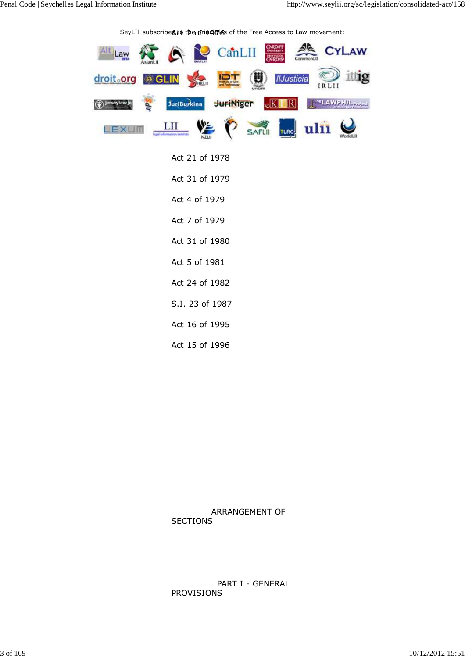SeyLII subscribe**ฎ***t***o** t**he<del>n</del>fringines** of the <u>Free Access to Law</u> movement:



Act 21 of 1978 Act 31 of 1979 Act 4 of 1979 Act 7 of 1979 Act 31 of 1980 Act 5 of 1981 Act 24 of 1982 S.I. 23 of 1987 Act 16 of 1995 Act 15 of 1996

 ARRANGEMENT OF **SECTIONS** 

 PART I - GENERAL PROVISIONS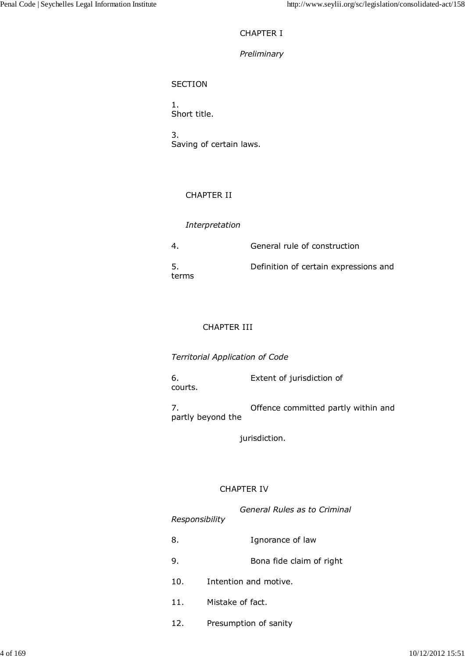# CHAPTER I

# *Preliminary*

# **SECTION**

1. Short title.

3. Saving of certain laws.

# CHAPTER II

# *Interpretation*

| $4_{-}$      | General rule of construction          |
|--------------|---------------------------------------|
| -5.<br>terms | Definition of certain expressions and |

# CHAPTER III

*Territorial Application of Code* 

6. Extent of jurisdiction of courts.

7. Offence committed partly within and partly beyond the

jurisdiction.

# CHAPTER IV

| General Rules as to Criminal<br>Responsibility |                          |
|------------------------------------------------|--------------------------|
| 8.                                             | Ignorance of law         |
| 9.                                             | Bona fide claim of right |
| 10.                                            | Intention and motive.    |
| 11.<br>Mistake of fact.                        |                          |

12. Presumption of sanity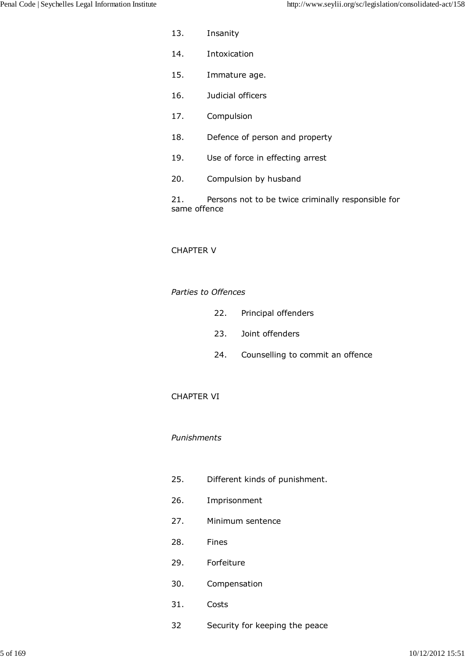- 13. Insanity
- 14. Intoxication
- 15. Immature age.
- 16. Judicial officers
- 17. Compulsion
- 18. Defence of person and property
- 19. Use of force in effecting arrest
- 20. Compulsion by husband

21. Persons not to be twice criminally responsible for same offence

# CHAPTER V

## *Parties to Offences*

- 22. Principal offenders
- 23. Joint offenders
- 24. Counselling to commit an offence

### CHAPTER VI

### *Punishments*

- 25. Different kinds of punishment.
- 26. Imprisonment
- 27. Minimum sentence
- 28. Fines
- 29. Forfeiture
- 30. Compensation
- 31. Costs
- 32 Security for keeping the peace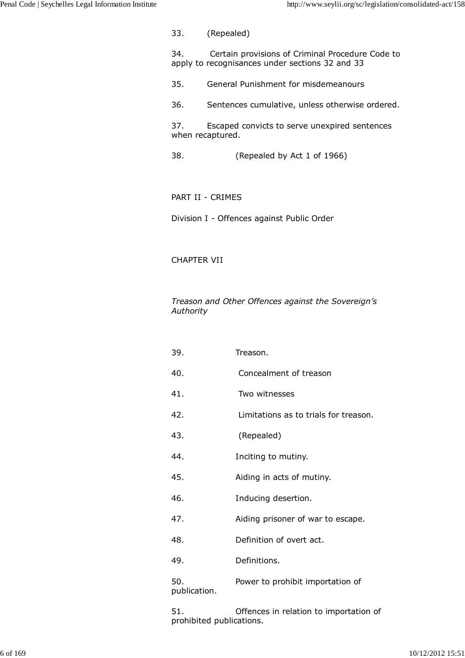33. (Repealed)

34. Certain provisions of Criminal Procedure Code to apply to recognisances under sections 32 and 33

- 35. General Punishment for misdemeanours
- 36. Sentences cumulative, unless otherwise ordered.

37. Escaped convicts to serve unexpired sentences when recaptured.

38. (Repealed by Act 1 of 1966)

PART II - CRIMES

Division I - Offences against Public Order

# CHAPTER VII

*Treason and Other Offences against the Sovereign's Authority*

| 39.                 | Treason.                              |
|---------------------|---------------------------------------|
| 40.                 | Concealment of treason                |
| 41.                 | Two witnesses                         |
| 42.                 | Limitations as to trials for treason. |
| 43.                 | (Repealed)                            |
| 44.                 | Inciting to mutiny.                   |
| 45.                 | Aiding in acts of mutiny.             |
| 46.                 | Inducing desertion.                   |
| 47.                 | Aiding prisoner of war to escape.     |
| 48.                 | Definition of overt act.              |
| 49.                 | Definitions.                          |
| 50.<br>publication. | Power to prohibit importation of      |
|                     |                                       |

51. Offences in relation to importation of prohibited publications.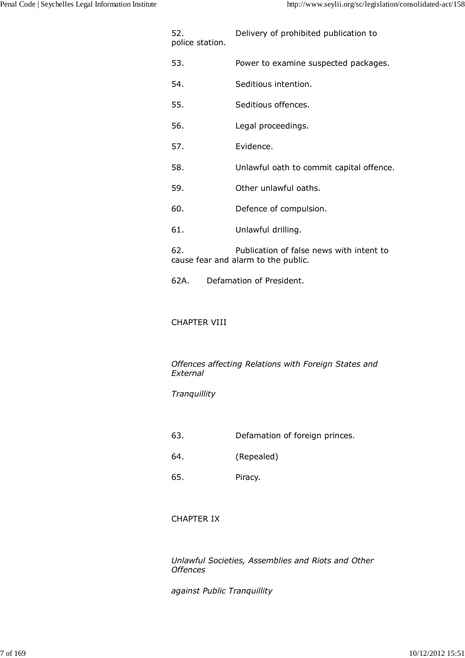| 52.<br>police station. | Delivery of prohibited publication to                                           |
|------------------------|---------------------------------------------------------------------------------|
| 53.                    | Power to examine suspected packages.                                            |
| 54.                    | Seditious intention.                                                            |
| 55.                    | Seditious offences.                                                             |
| 56.                    | Legal proceedings.                                                              |
| 57.                    | Evidence.                                                                       |
| 58.                    | Unlawful oath to commit capital offence.                                        |
| 59.                    | Other unlawful oaths.                                                           |
| 60.                    | Defence of compulsion.                                                          |
| 61.                    | Unlawful drilling.                                                              |
| 62.                    | Publication of false news with intent to<br>cause fear and alarm to the public. |

62A. Defamation of President.

# CHAPTER VIII

*Offences affecting Relations with Foreign States and External*

# *Tranquillity*

- 63. Defamation of foreign princes.
- 64. (Repealed)
- 65. Piracy.

# CHAPTER IX

*Unlawful Societies, Assemblies and Riots and Other Offences*

*against Public Tranquillity*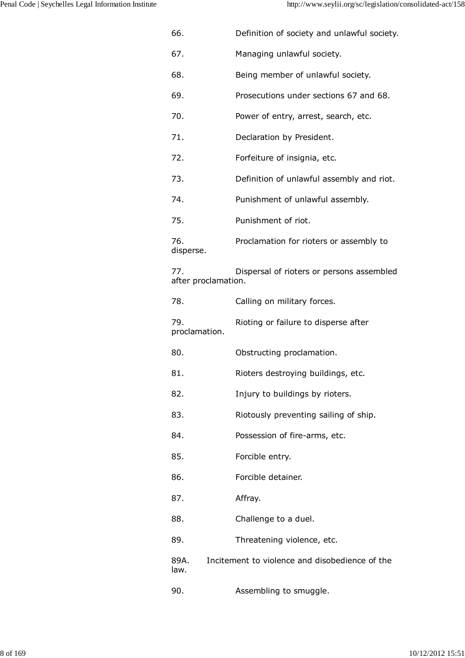| 66.                        | Definition of society and unlawful society.    |
|----------------------------|------------------------------------------------|
| 67.                        | Managing unlawful society.                     |
| 68.                        | Being member of unlawful society.              |
| 69.                        | Prosecutions under sections 67 and 68.         |
| 70.                        | Power of entry, arrest, search, etc.           |
| 71.                        | Declaration by President.                      |
| 72.                        | Forfeiture of insignia, etc.                   |
| 73.                        | Definition of unlawful assembly and riot.      |
| 74.                        | Punishment of unlawful assembly.               |
| 75.                        | Punishment of riot.                            |
| 76.<br>disperse.           | Proclamation for rioters or assembly to        |
| 77.<br>after proclamation. | Dispersal of rioters or persons assembled      |
| 78.                        | Calling on military forces.                    |
| 79.<br>proclamation.       | Rioting or failure to disperse after           |
| 80.                        | Obstructing proclamation.                      |
| 81.                        | Rioters destroying buildings, etc.             |
| 82.                        | Injury to buildings by rioters.                |
| 83.                        | Riotously preventing sailing of ship.          |
| 84.                        | Possession of fire-arms, etc.                  |
| 85.                        | Forcible entry.                                |
| 86.                        | Forcible detainer.                             |
| 87.                        | Affray.                                        |
| 88.                        | Challenge to a duel.                           |
| 89.                        | Threatening violence, etc.                     |
| 89A.<br>law.               | Incitement to violence and disobedience of the |
| 90.                        | Assembling to smuggle.                         |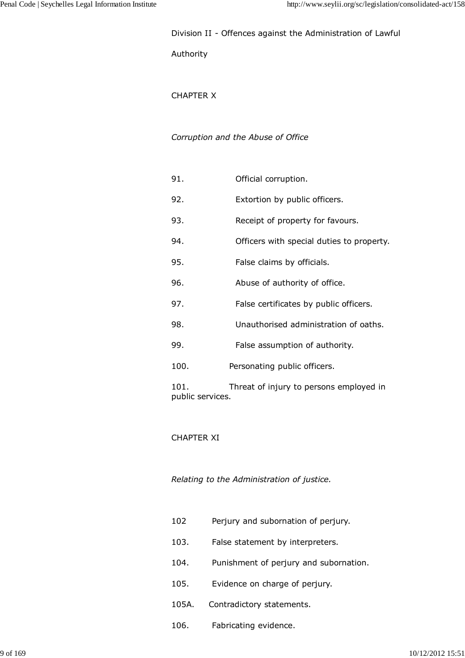## Division II - Offences against the Administration of Lawful

## Authority

# CHAPTER X

# *Corruption and the Abuse of Office*

| 91.                      | Official corruption.                      |
|--------------------------|-------------------------------------------|
| 92.                      | Extortion by public officers.             |
| 93.                      | Receipt of property for favours.          |
| 94.                      | Officers with special duties to property. |
| 95.                      | False claims by officials.                |
| 96.                      | Abuse of authority of office.             |
| 97.                      | False certificates by public officers.    |
| 98.                      | Unauthorised administration of oaths.     |
| 99.                      | False assumption of authority.            |
| 100.                     | Personating public officers.              |
| 101.<br>public services. | Threat of injury to persons employed in   |

# CHAPTER XI

*Relating to the Administration of justice.*

- 102 Perjury and subornation of perjury.
- 103. False statement by interpreters.
- 104. Punishment of perjury and subornation.
- 105. Evidence on charge of perjury.
- 105A. Contradictory statements.
- 106. Fabricating evidence.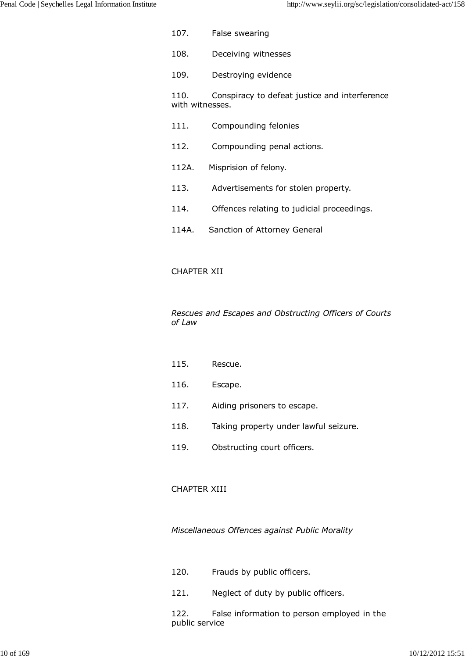107. False swearing 108. Deceiving witnesses 109. Destroying evidence

110. Conspiracy to defeat justice and interference with witnesses.

- 111. Compounding felonies
- 112. Compounding penal actions.
- 112A. Misprision of felony.
- 113. Advertisements for stolen property.
- 114. Offences relating to judicial proceedings.
- 114A. Sanction of Attorney General

# CHAPTER XII

*Rescues and Escapes and Obstructing Officers of Courts of Law*

- 115. Rescue.
- 116. Escape.
- 117. Aiding prisoners to escape.
- 118. Taking property under lawful seizure.
- 119. Obstructing court officers.

# CHAPTER XIII

*Miscellaneous Offences against Public Morality*

- 120. Frauds by public officers.
- 121. Neglect of duty by public officers.

122. False information to person employed in the public service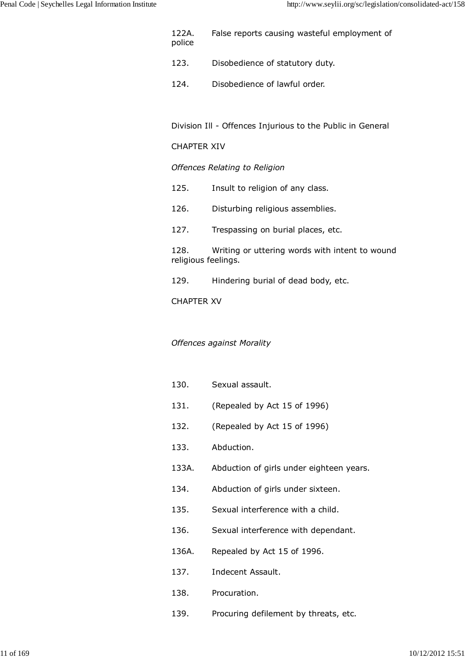- 122A. False reports causing wasteful employment of police
- 123. Disobedience of statutory duty.
- 124. Disobedience of lawful order.

Division Ill - Offences Injurious to the Public in General

## CHAPTER XIV

## *Offences Relating to Religion*

- 125. Insult to religion of any class.
- 126. Disturbing religious assemblies.
- 127. Trespassing on burial places, etc.

128. Writing or uttering words with intent to wound religious feelings.

129. Hindering burial of dead body, etc.

CHAPTER XV

# *Offences against Morality*

- 130. Sexual assault.
- 131. (Repealed by Act 15 of 1996)
- 132. (Repealed by Act 15 of 1996)
- 133. Abduction.
- 133A. Abduction of girls under eighteen years.
- 134. Abduction of girls under sixteen.
- 135. Sexual interference with a child.
- 136. Sexual interference with dependant.
- 136A. Repealed by Act 15 of 1996.
- 137. Indecent Assault.
- 138. Procuration.
- 139. Procuring defilement by threats, etc.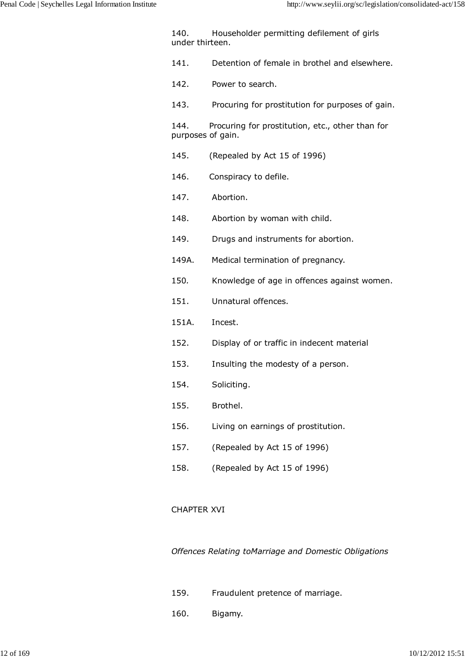140. Householder permitting defilement of girls under thirteen.

- 141. Detention of female in brothel and elsewhere.
- 142. Power to search.
- 143. Procuring for prostitution for purposes of gain.

144. Procuring for prostitution, etc., other than for purposes of gain.

- 145. (Repealed by Act 15 of 1996)
- 146. Conspiracy to defile.
- 147. Abortion.
- 148. Abortion by woman with child.
- 149. Drugs and instruments for abortion.
- 149A. Medical termination of pregnancy.
- 150*.* Knowledge of age in offences against women.
- 151. Unnatural offences.
- 151A. Incest.
- 152. Display of or traffic in indecent material
- 153. Insulting the modesty of a person.
- 154. Soliciting.
- 155. Brothel.
- 156. Living on earnings of prostitution.
- 157. (Repealed by Act 15 of 1996)
- 158. (Repealed by Act 15 of 1996)

### CHAPTER XVI

*Offences Relating toMarriage and Domestic Obligations*

- 159. Fraudulent pretence of marriage.
- 160. Bigamy.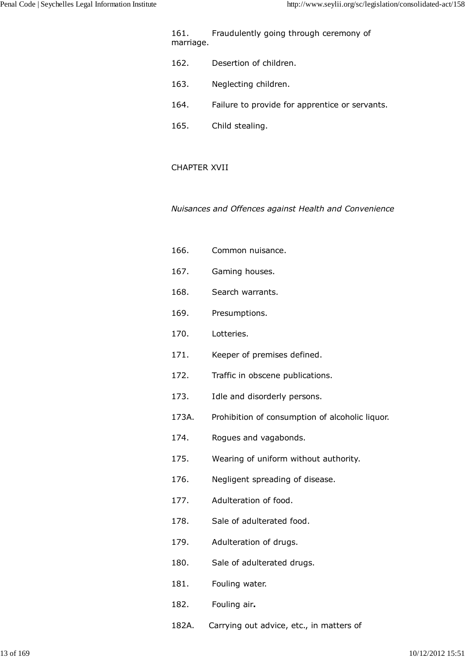161. Fraudulently going through ceremony of marriage.

- 162. Desertion of children.
- 163. Neglecting children.
- 164. Failure to provide for apprentice or servants.
- 165. Child stealing.

## CHAPTER XVII

*Nuisances and Offences against Health and Convenience*

- 166. Common nuisance.
- 167. Gaming houses.
- 168. Search warrants.
- 169. Presumptions.
- 170. Lotteries.
- 171. Keeper of premises defined.
- 172. Traffic in obscene publications.
- 173. Idle and disorderly persons.
- 173A. Prohibition of consumption of alcoholic liquor.
- 174. Rogues and vagabonds.
- 175. Wearing of uniform without authority.
- 176. Negligent spreading of disease.
- 177. Adulteration of food.
- 178. Sale of adulterated food.
- 179. Adulteration of drugs.
- 180. Sale of adulterated drugs.
- 181. Fouling water.
- 182. Fouling air**.**
- 182A. Carrying out advice, etc., in matters of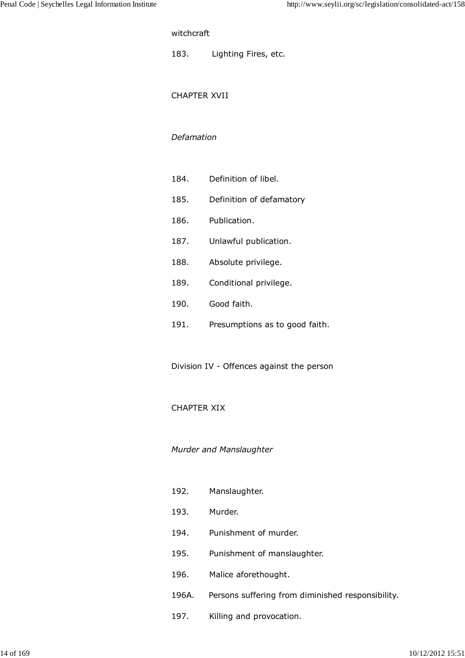## witchcraft

183. Lighting Fires, etc.

#### CHAPTER XVII

#### *Defamation*

- 184. Definition of libel.
- 185. Definition of defamatory
- 186. Publication.
- 187. Unlawful publication.
- 188. Absolute privilege.
- 189. Conditional privilege.
- 190. Good faith.
- 191. Presumptions as to good faith.

Division IV - Offences against the person

### CHAPTER XIX

### *Murder and Manslaughter*

- 192. Manslaughter.
- 193. Murder.
- 194. Punishment of murder.
- 195. Punishment of manslaughter.
- 196. Malice aforethought.
- 196A. Persons suffering from diminished responsibility.
- 197. Killing and provocation.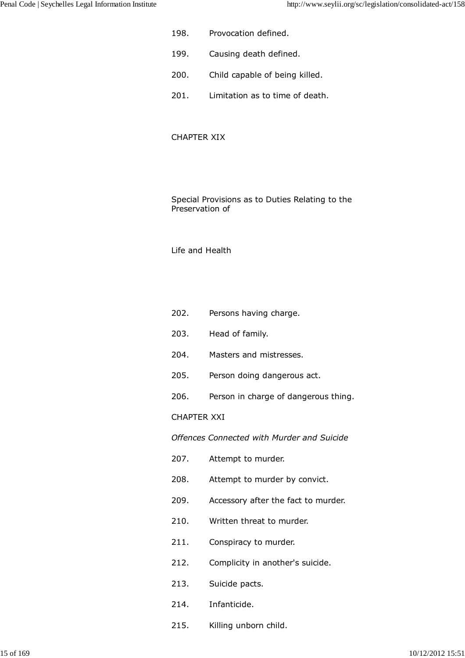- 198. Provocation defined.
- 199. Causing death defined.
- 200. Child capable of being killed.
- 201. Limitation as to time of death.

### CHAPTER XIX

Special Provisions as to Duties Relating to the Preservation of

#### Life and Health

- 202. Persons having charge.
- 203. Head of family.
- 204. Masters and mistresses.
- 205. Person doing dangerous act.
- 206. Person in charge of dangerous thing.

#### CHAPTER XXI

*Offences Connected with Murder and Suicide*

- 207. Attempt to murder.
- 208. Attempt to murder by convict.
- 209. Accessory after the fact to murder.
- 210. Written threat to murder.
- 211. Conspiracy to murder.
- 212. Complicity in another's suicide.
- 213. Suicide pacts.
- 214. Infanticide.
- 215. Killing unborn child.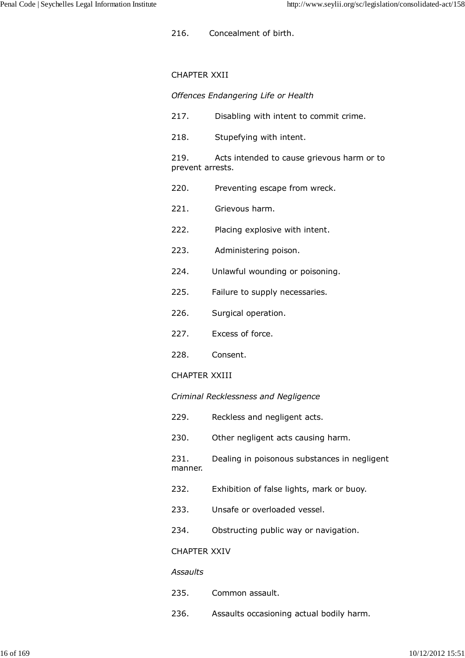216. Concealment of birth.

## CHAPTER XXII

## *Offences Endangering Life or Health*

- 217. Disabling with intent to commit crime.
- 218. Stupefying with intent.

219. Acts intended to cause grievous harm or to prevent arrests.

- 220. Preventing escape from wreck.
- 221. Grievous harm.
- 222. Placing explosive with intent.
- 223. Administering poison.
- 224. Unlawful wounding or poisoning.
- 225. Failure to supply necessaries.
- 226. Surgical operation.
- 227. Excess of force.
- 228. Consent.

### CHAPTER XXIII

### *Criminal Recklessness and Negligence*

- 229. Reckless and negligent acts.
- 230. Other negligent acts causing harm.

231. Dealing in poisonous substances in negligent manner.

- 232. Exhibition of false lights, mark or buoy.
- 233. Unsafe or overloaded vessel.
- 234. Obstructing public way or navigation.

# CHAPTER XXIV

### *Assaults*

- 235. Common assault.
- 236. Assaults occasioning actual bodily harm.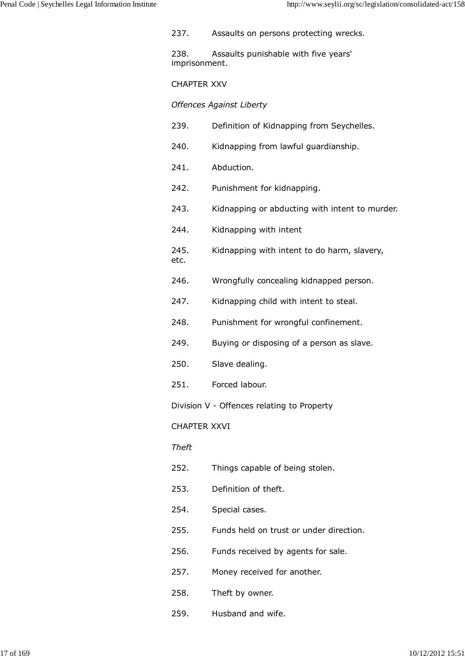237. Assaults on persons protecting wrecks.

238. Assaults punishable with five years' imprisonment.

# CHAPTER XXV

*Offences Against Liberty*

- 239. Definition of Kidnapping from Seychelles.
- 240. Kidnapping from lawful guardianship.
- 241. Abduction.
- 242. Punishment for kidnapping.
- 243. Kidnapping or abducting with intent to murder.
- 244. Kidnapping with intent
- 245. Kidnapping with intent to do harm, slavery, etc.
- 246. Wrongfully concealing kidnapped person.
- 247. Kidnapping child with intent to steal.
- 248. Punishment for wrongful confinement.
- 249. Buying or disposing of a person as slave.
- 250. Slave dealing.
- 251. Forced labour.

Division V - Offences relating to Property

CHAPTER XXVI

# *Theft*

- 252. Things capable of being stolen.
- 253. Definition of theft.
- 254. Special cases.
- 255. Funds held on trust or under direction.
- 256. Funds received by agents for sale.
- 257. Money received for another.
- 258. Theft by owner.
- 259. Husband and wife.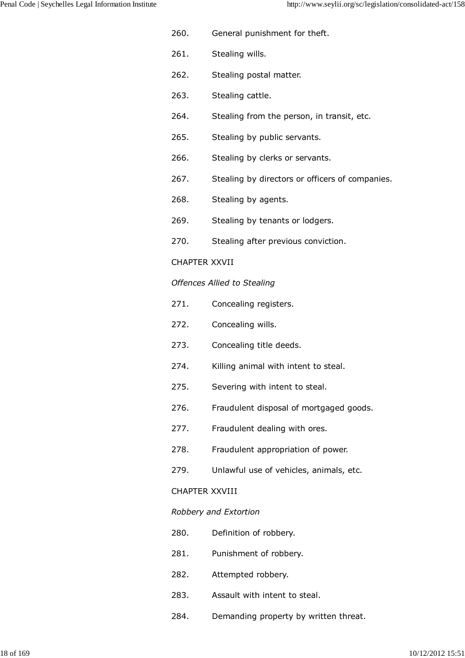- 260. General punishment for theft.
- 261. Stealing wills.
- 262. Stealing postal matter.
- 263. Stealing cattle.
- 264. Stealing from the person, in transit, etc.
- 265. Stealing by public servants.
- 266. Stealing by clerks or servants.
- 267. Stealing by directors or officers of companies.
- 268. Stealing by agents.
- 269. Stealing by tenants or lodgers.
- 270. Stealing after previous conviction.

# CHAPTER XXVII

# *Offences Allied to Stealing*

- 271. Concealing registers.
- 272. Concealing wills.
- 273. Concealing title deeds.
- 274. Killing animal with intent to steal.
- 275. Severing with intent to steal.
- 276. Fraudulent disposal of mortgaged goods.
- 277. Fraudulent dealing with ores.
- 278. Fraudulent appropriation of power.
- 279. Unlawful use of vehicles, animals, etc.

# CHAPTER XXVIII

# *Robbery and Extortion*

- 280. Definition of robbery.
- 281. Punishment of robbery.
- 282. Attempted robbery.
- 283. Assault with intent to steal.
- 284. Demanding property by written threat.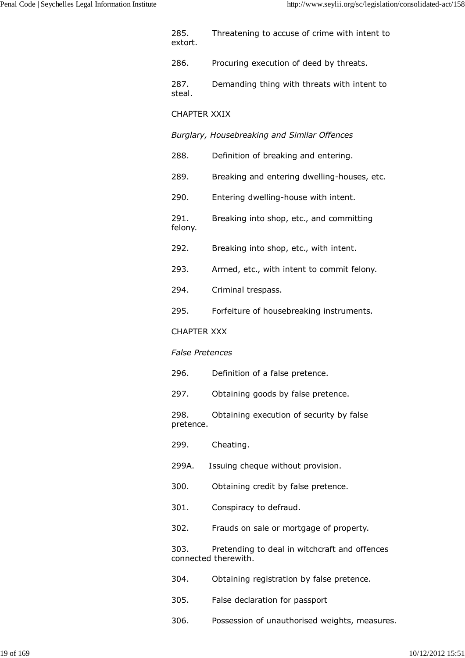| 285.<br>extort.        | Threatening to accuse of crime with intent to                         |
|------------------------|-----------------------------------------------------------------------|
| 286.                   | Procuring execution of deed by threats.                               |
| 287.<br>steal.         | Demanding thing with threats with intent to                           |
| <b>CHAPTER XXIX</b>    |                                                                       |
|                        | Burglary, Housebreaking and Similar Offences                          |
| 288.                   | Definition of breaking and entering.                                  |
| 289.                   | Breaking and entering dwelling-houses, etc.                           |
| 290.                   | Entering dwelling-house with intent.                                  |
| 291.<br>felony.        | Breaking into shop, etc., and committing                              |
| 292.                   | Breaking into shop, etc., with intent.                                |
| 293.                   | Armed, etc., with intent to commit felony.                            |
| 294.                   | Criminal trespass.                                                    |
| 295.                   | Forfeiture of housebreaking instruments.                              |
| <b>CHAPTER XXX</b>     |                                                                       |
| <b>False Pretences</b> |                                                                       |
| 296.                   | Definition of a false pretence.                                       |
| 297.                   | Obtaining goods by false pretence.                                    |
| 298.<br>pretence.      | Obtaining execution of security by false                              |
| 299.                   | Cheating.                                                             |
| 299A.                  | Issuing cheque without provision.                                     |
| 300.                   | Obtaining credit by false pretence.                                   |
| 301.                   | Conspiracy to defraud.                                                |
| 302.                   | Frauds on sale or mortgage of property.                               |
| 303.                   | Pretending to deal in witchcraft and offences<br>connected therewith. |
| 304.                   | Obtaining registration by false pretence.                             |
| 305.                   | False declaration for passport                                        |
| 306.                   | Possession of unauthorised weights, measures.                         |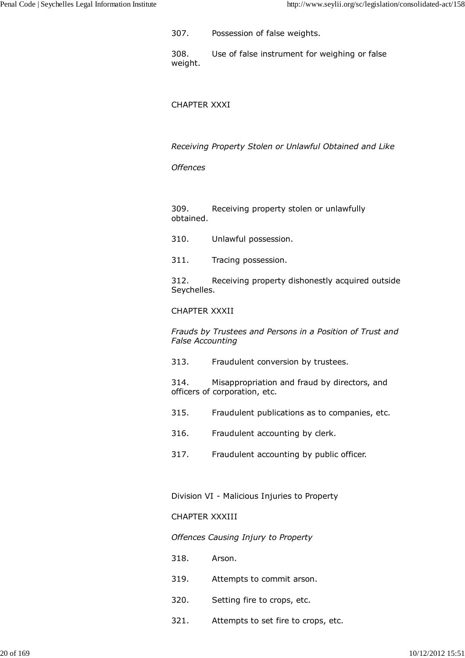307. Possession of false weights.

308. Use of false instrument for weighing or false weight.

### CHAPTER XXXI

*Receiving Property Stolen or Unlawful Obtained and Like*

### *Offences*

309. Receiving property stolen or unlawfully obtained.

- 310. Unlawful possession.
- 311. Tracing possession.

312. Receiving property dishonestly acquired outside Seychelles.

## CHAPTER XXXII

*Frauds by Trustees and Persons in a Position of Trust and False Accounting*

313. Fraudulent conversion by trustees.

314. Misappropriation and fraud by directors, and officers of corporation, etc.

- 315. Fraudulent publications as to companies, etc.
- 316. Fraudulent accounting by clerk.
- 317. Fraudulent accounting by public officer.

Division VI - Malicious Injuries to Property

### CHAPTER XXXIII

### *Offences Causing Injury to Property*

- 318. Arson.
- 319. Attempts to commit arson.
- 320. Setting fire to crops, etc.
- 321. Attempts to set fire to crops, etc.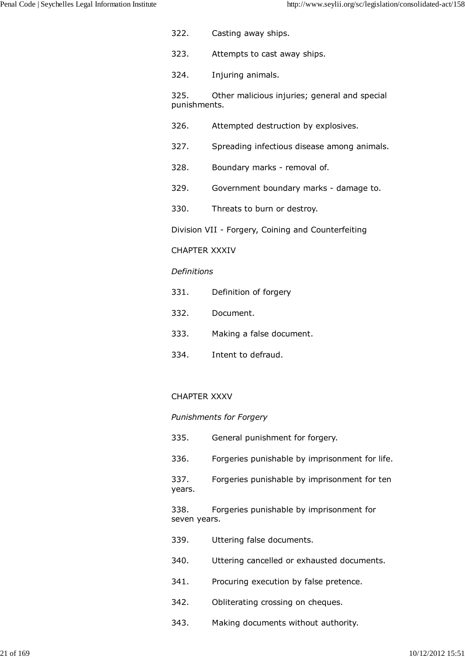- 322. Casting away ships.
- 323. Attempts to cast away ships.
- 324. Injuring animals.

325. Other malicious injuries; general and special punishments.

- 326. Attempted destruction by explosives.
- 327. Spreading infectious disease among animals.
- 328. Boundary marks removal of.
- 329. Government boundary marks damage to.
- 330. Threats to burn or destroy.

Division VII - Forgery, Coining and Counterfeiting

### CHAPTER XXXIV

### *Definitions*

- 331. Definition of forgery
- 332. Document.
- 333. Making a false document.
- 334. Intent to defraud.

### CHAPTER XXXV

### *Punishments for Forgery*

335. General punishment for forgery. 336. Forgeries punishable by imprisonment for life. 337. Forgeries punishable by imprisonment for ten years. 338. Forgeries punishable by imprisonment for seven years. 339. Uttering false documents. 340. Uttering cancelled or exhausted documents. 341. Procuring execution by false pretence. 342. Obliterating crossing on cheques. 343. Making documents without authority.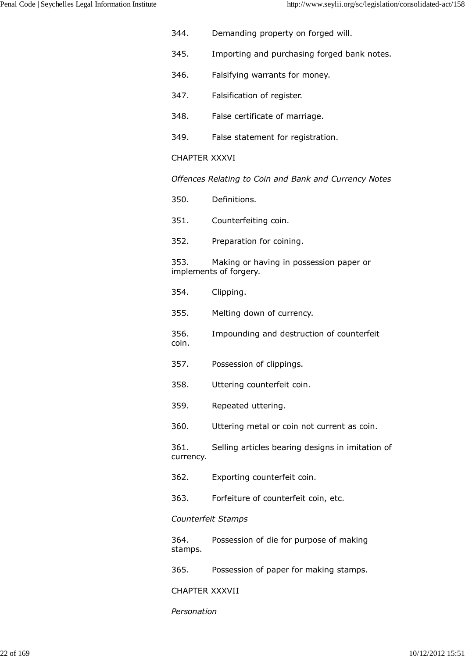- 344. Demanding property on forged will.
- 345. Importing and purchasing forged bank notes.
- 346. Falsifying warrants for money.
- 347. Falsification of register.
- 348. False certificate of marriage.
- 349. False statement for registration.

# CHAPTER XXXVI

*Offences Relating to Coin and Bank and Currency Notes*

- 350. Definitions.
- 351. Counterfeiting coin.
- 352. Preparation for coining.

353. Making or having in possession paper or implements of forgery.

- 354. Clipping.
- 355. Melting down of currency.
- 356. Impounding and destruction of counterfeit coin.
- 357. Possession of clippings.
- 358. Uttering counterfeit coin.
- 359. Repeated uttering.
- 360. Uttering metal or coin not current as coin.

361. Selling articles bearing designs in imitation of currency.

- 362. Exporting counterfeit coin.
- 363. Forfeiture of counterfeit coin, etc.

# *Counterfeit Stamps*

364. Possession of die for purpose of making stamps.

365. Possession of paper for making stamps.

CHAPTER XXXVII

*Personation*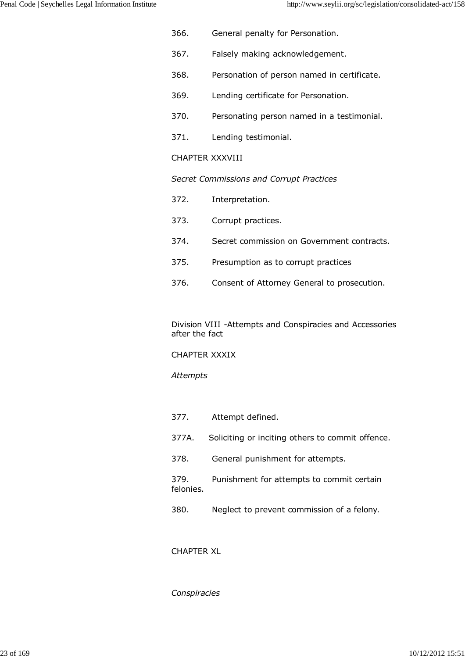- 366. General penalty for Personation.
- 367. Falsely making acknowledgement.
- 368. Personation of person named in certificate.
- 369. Lending certificate for Personation.
- 370. Personating person named in a testimonial.
- 371. Lending testimonial.

# CHAPTER XXXVIII

*Secret Commissions and Corrupt Practices*

- 372. Interpretation.
- 373. Corrupt practices.
- 374. Secret commission on Government contracts.
- 375. Presumption as to corrupt practices
- 376. Consent of Attorney General to prosecution.

Division VIII -Attempts and Conspiracies and Accessories after the fact

# CHAPTER XXXIX

# *Attempts*

- 377. Attempt defined.
- 377A. Soliciting or inciting others to commit offence.
- 378. General punishment for attempts.

379. Punishment for attempts to commit certain felonies.

380. Neglect to prevent commission of a felony.

# CHAPTER XL

# *Conspiracies*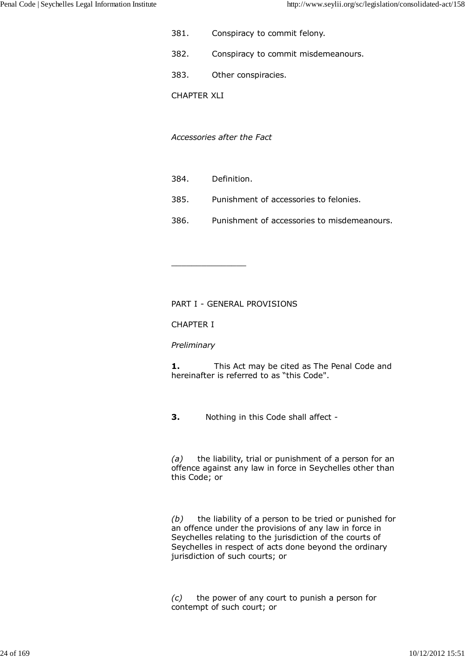- 381. Conspiracy to commit felony.
- 382. Conspiracy to commit misdemeanours.
- 383. Other conspiracies.
- CHAPTER XLI

*Accessories after the Fact*

384. Definition.

 $\_$ 

- 385. Punishment of accessories to felonies.
- 386. Punishment of accessories to misdemeanours.

PART I - GENERAL PROVISIONS

CHAPTER I

### *Preliminary*

**1.** This Act may be cited as The Penal Code and hereinafter is referred to as "this Code".

**3.** Nothing in this Code shall affect -

*(a)* the liability, trial or punishment of a person for an offence against any law in force in Seychelles other than this Code; or

*(b)* the liability of a person to be tried or punished for an offence under the provisions of any law in force in Seychelles relating to the jurisdiction of the courts of Seychelles in respect of acts done beyond the ordinary jurisdiction of such courts; or

*(c)* the power of any court to punish a person for contempt of such court; or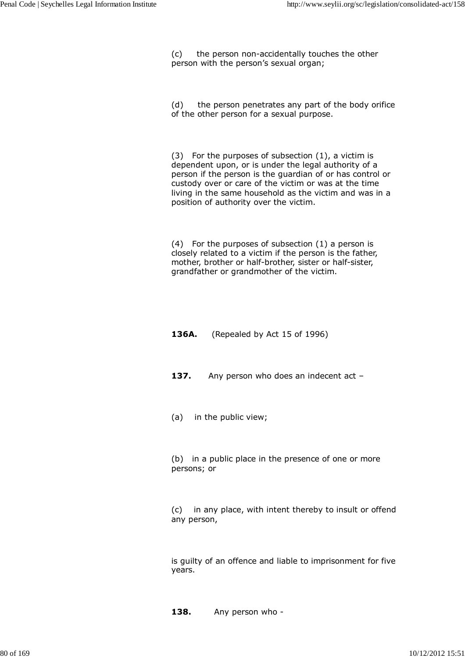(c) the person non-accidentally touches the other person with the person's sexual organ;

(d) the person penetrates any part of the body orifice of the other person for a sexual purpose.

(3) For the purposes of subsection (1), a victim is dependent upon, or is under the legal authority of a person if the person is the guardian of or has control or custody over or care of the victim or was at the time living in the same household as the victim and was in a position of authority over the victim.

(4) For the purposes of subsection (1) a person is closely related to a victim if the person is the father, mother, brother or half-brother, sister or half-sister, grandfather or grandmother of the victim.

## **136A.** (Repealed by Act 15 of 1996)

- 137. Any person who does an indecent act -
- (a) in the public view;

(b) in a public place in the presence of one or more persons; or

(c) in any place, with intent thereby to insult or offend any person,

is guilty of an offence and liable to imprisonment for five years.

**138.** Any person who -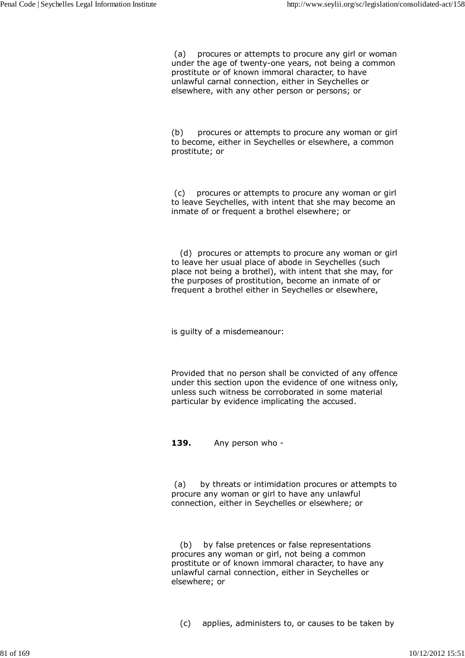(a) procures or attempts to procure any girl or woman under the age of twenty-one years, not being a common prostitute or of known immoral character, to have unlawful carnal connection, either in Seychelles or elsewhere, with any other person or persons; or

(b) procures or attempts to procure any woman or girl to become, either in Seychelles or elsewhere, a common prostitute; or

 (c) procures or attempts to procure any woman or girl to leave Seychelles, with intent that she may become an inmate of or frequent a brothel elsewhere; or

 (d) procures or attempts to procure any woman or girl to leave her usual place of abode in Seychelles (such place not being a brothel), with intent that she may, for the purposes of prostitution, become an inmate of or frequent a brothel either in Seychelles or elsewhere,

is guilty of a misdemeanour:

Provided that no person shall be convicted of any offence under this section upon the evidence of one witness only, unless such witness be corroborated in some material particular by evidence implicating the accused.

**139.** Any person who -

 (a) by threats or intimidation procures or attempts to procure any woman or girl to have any unlawful connection, either in Seychelles or elsewhere; or

 (b) by false pretences or false representations procures any woman or girl, not being a common prostitute or of known immoral character, to have any unlawful carnal connection, either in Seychelles or elsewhere; or

(c) applies, administers to, or causes to be taken by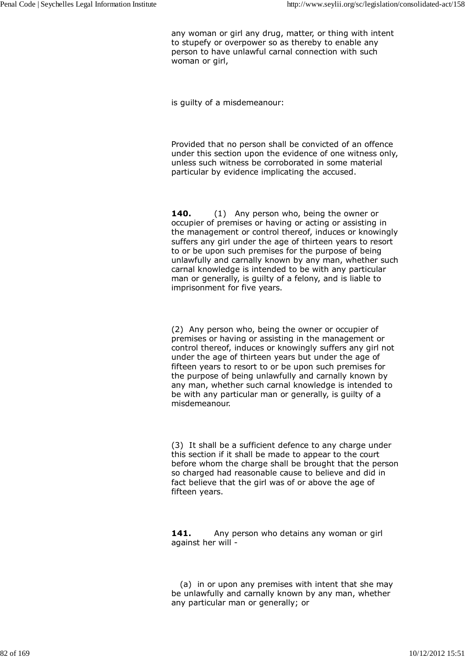any woman or girl any drug, matter, or thing with intent to stupefy or overpower so as thereby to enable any person to have unlawful carnal connection with such woman or girl,

is guilty of a misdemeanour:

Provided that no person shall be convicted of an offence under this section upon the evidence of one witness only, unless such witness be corroborated in some material particular by evidence implicating the accused.

**140.** (1) Any person who, being the owner or occupier of premises or having or acting or assisting in the management or control thereof, induces or knowingly suffers any girl under the age of thirteen years to resort to or be upon such premises for the purpose of being unlawfully and carnally known by any man, whether such carnal knowledge is intended to be with any particular man or generally, is guilty of a felony, and is liable to imprisonment for five years.

(2) Any person who, being the owner or occupier of premises or having or assisting in the management or control thereof, induces or knowingly suffers any girl not under the age of thirteen years but under the age of fifteen years to resort to or be upon such premises for the purpose of being unlawfully and carnally known by any man, whether such carnal knowledge is intended to be with any particular man or generally, is guilty of a misdemeanour.

(3) It shall be a sufficient defence to any charge under this section if it shall be made to appear to the court before whom the charge shall be brought that the person so charged had reasonable cause to believe and did in fact believe that the girl was of or above the age of fifteen years.

141. Any person who detains any woman or girl against her will -

 (a) in or upon any premises with intent that she may be unlawfully and carnally known by any man, whether any particular man or generally; or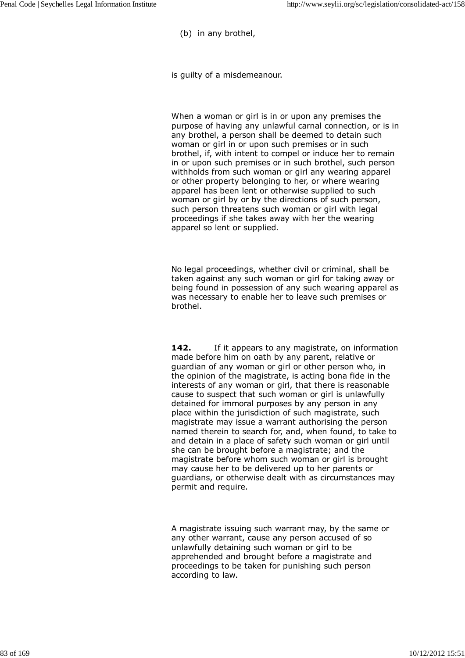(b) in any brothel,

is guilty of a misdemeanour.

When a woman or girl is in or upon any premises the purpose of having any unlawful carnal connection, or is in any brothel, a person shall be deemed to detain such woman or girl in or upon such premises or in such brothel, if, with intent to compel or induce her to remain in or upon such premises or in such brothel, such person withholds from such woman or girl any wearing apparel or other property belonging to her, or where wearing apparel has been lent or otherwise supplied to such woman or girl by or by the directions of such person, such person threatens such woman or girl with legal proceedings if she takes away with her the wearing apparel so lent or supplied.

No legal proceedings, whether civil or criminal, shall be taken against any such woman or girl for taking away or being found in possession of any such wearing apparel as was necessary to enable her to leave such premises or brothel.

**142.** If it appears to any magistrate, on information made before him on oath by any parent, relative or guardian of any woman or girl or other person who, in the opinion of the magistrate, is acting bona fide in the interests of any woman or girl, that there is reasonable cause to suspect that such woman or girl is unlawfully detained for immoral purposes by any person in any place within the jurisdiction of such magistrate, such magistrate may issue a warrant authorising the person named therein to search for, and, when found, to take to and detain in a place of safety such woman or girl until she can be brought before a magistrate; and the magistrate before whom such woman or girl is brought may cause her to be delivered up to her parents or guardians, or otherwise dealt with as circumstances may permit and require.

A magistrate issuing such warrant may, by the same or any other warrant, cause any person accused of so unlawfully detaining such woman or girl to be apprehended and brought before a magistrate and proceedings to be taken for punishing such person according to law.